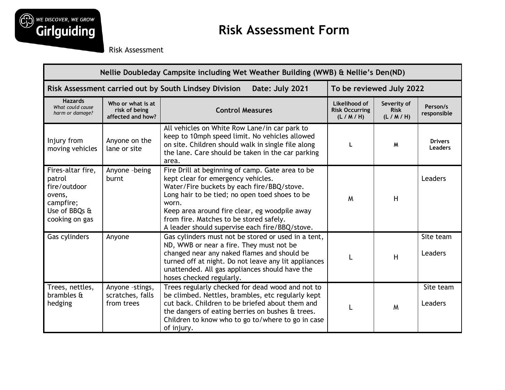

Risk Assessment

| Nellie Doubleday Campsite including Wet Weather Building (WWB) & Nellie's Den(ND)                     |                                                         |                                                                                                                                                                                                                                                                                                                                               |                                                   |                                       |                                  |  |  |
|-------------------------------------------------------------------------------------------------------|---------------------------------------------------------|-----------------------------------------------------------------------------------------------------------------------------------------------------------------------------------------------------------------------------------------------------------------------------------------------------------------------------------------------|---------------------------------------------------|---------------------------------------|----------------------------------|--|--|
| Risk Assessment carried out by South Lindsey Division<br>Date: July 2021<br>To be reviewed July 2022  |                                                         |                                                                                                                                                                                                                                                                                                                                               |                                                   |                                       |                                  |  |  |
| <b>Hazards</b><br>What could cause<br>harm or damage?                                                 | Who or what is at<br>risk of being<br>affected and how? | <b>Control Measures</b>                                                                                                                                                                                                                                                                                                                       | Likelihood of<br><b>Risk Occurring</b><br>(L/M/H) | Severity of<br><b>Risk</b><br>(L/M/H) | Person/s<br>responsible          |  |  |
| Injury from<br>moving vehicles                                                                        | Anyone on the<br>lane or site                           | All vehicles on White Row Lane/in car park to<br>keep to 10mph speed limit. No vehicles allowed<br>on site. Children should walk in single file along<br>the lane. Care should be taken in the car parking<br>area.                                                                                                                           |                                                   | M                                     | <b>Drivers</b><br><b>Leaders</b> |  |  |
| Fires-altar fire,<br>patrol<br>fire/outdoor<br>ovens,<br>campfire;<br>Use of BBQs &<br>cooking on gas | Anyone -being<br>burnt                                  | Fire Drill at beginning of camp. Gate area to be<br>kept clear for emergency vehicles.<br>Water/Fire buckets by each fire/BBQ/stove.<br>Long hair to be tied; no open toed shoes to be<br>worn.<br>Keep area around fire clear, eg woodpile away<br>from fire. Matches to be stored safely.<br>A leader should supervise each fire/BBQ/stove. | M                                                 | H                                     | Leaders                          |  |  |
| Gas cylinders                                                                                         | Anyone                                                  | Gas cylinders must not be stored or used in a tent,<br>ND, WWB or near a fire. They must not be<br>changed near any naked flames and should be<br>turned off at night. Do not leave any lit appliances<br>unattended. All gas appliances should have the<br>hoses checked regularly.                                                          |                                                   | H                                     | Site team<br>Leaders             |  |  |
| Trees, nettles,<br>brambles &<br>hedging                                                              | Anyone -stings,<br>scratches, falls<br>from trees       | Trees regularly checked for dead wood and not to<br>be climbed. Nettles, brambles, etc regularly kept<br>cut back. Children to be briefed about them and<br>the dangers of eating berries on bushes & trees.<br>Children to know who to go to/where to go in case<br>of injury.                                                               |                                                   | M                                     | Site team<br>Leaders             |  |  |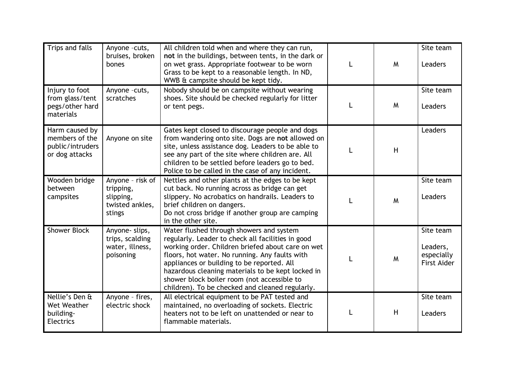| Trips and falls                                                        | Anyone -cuts,<br>bruises, broken<br>bones                               | All children told when and where they can run,<br>not in the buildings, between tents, in the dark or<br>on wet grass. Appropriate footwear to be worn<br>Grass to be kept to a reasonable length. In ND,<br>WWB & campsite should be kept tidy.                                                                                                                                                          | M | Site team<br>Leaders                                      |
|------------------------------------------------------------------------|-------------------------------------------------------------------------|-----------------------------------------------------------------------------------------------------------------------------------------------------------------------------------------------------------------------------------------------------------------------------------------------------------------------------------------------------------------------------------------------------------|---|-----------------------------------------------------------|
| Injury to foot<br>from glass/tent<br>pegs/other hard<br>materials      | Anyone -cuts,<br>scratches                                              | Nobody should be on campsite without wearing<br>shoes. Site should be checked regularly for litter<br>or tent pegs.                                                                                                                                                                                                                                                                                       | M | Site team<br>Leaders                                      |
| Harm caused by<br>members of the<br>public/intruders<br>or dog attacks | Anyone on site                                                          | Gates kept closed to discourage people and dogs<br>from wandering onto site. Dogs are not allowed on<br>site, unless assistance dog. Leaders to be able to<br>see any part of the site where children are. All<br>children to be settled before leaders go to bed.<br>Police to be called in the case of any incident.                                                                                    | H | Leaders                                                   |
| Wooden bridge<br>between<br>campsites                                  | Anyone - risk of<br>tripping,<br>slipping,<br>twisted ankles,<br>stings | Nettles and other plants at the edges to be kept<br>cut back. No running across as bridge can get<br>slippery. No acrobatics on handrails. Leaders to<br>brief children on dangers.<br>Do not cross bridge if another group are camping<br>in the other site.                                                                                                                                             | M | Site team<br>Leaders                                      |
| <b>Shower Block</b>                                                    | Anyone-slips,<br>trips, scalding<br>water, illness,<br>poisoning        | Water flushed through showers and system<br>regularly. Leader to check all facilities in good<br>working order. Children briefed about care on wet<br>floors, hot water. No running. Any faults with<br>appliances or building to be reported. All<br>hazardous cleaning materials to be kept locked in<br>shower block boiler room (not accessible to<br>children). To be checked and cleaned regularly. | M | Site team<br>Leaders,<br>especially<br><b>First Aider</b> |
| Nellie's Den &<br>Wet Weather<br>building-<br><b>Electrics</b>         | Anyone - fires,<br>electric shock                                       | All electrical equipment to be PAT tested and<br>maintained, no overloading of sockets. Electric<br>heaters not to be left on unattended or near to<br>flammable materials.                                                                                                                                                                                                                               | H | Site team<br>Leaders                                      |